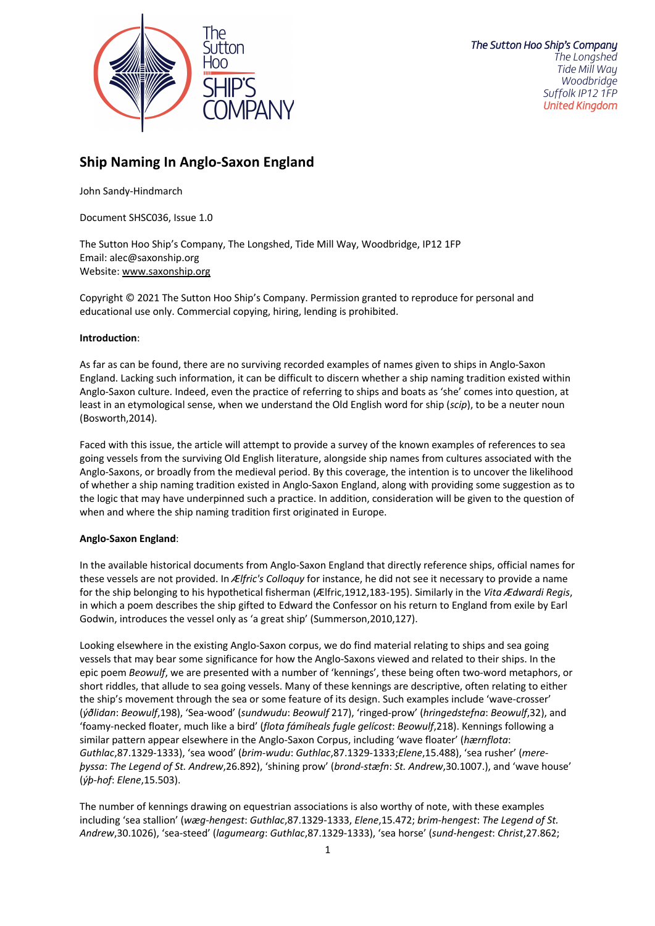

# **Ship Naming In Anglo-Saxon England**

John Sandy-Hindmarch

Document SHSC036, Issue 1.0

The Sutton Hoo Ship's Company, The Longshed, Tide Mill Way, Woodbridge, IP12 1FP Email: alec@saxonship.org Website: www.saxonship.org

Copyright © 2021 The Sutton Hoo Ship's Company. Permission granted to reproduce for personal and educational use only. Commercial copying, hiring, lending is prohibited.

# **Introduction**:

As far as can be found, there are no surviving recorded examples of names given to ships in Anglo-Saxon England. Lacking such information, it can be difficult to discern whether a ship naming tradition existed within Anglo-Saxon culture. Indeed, even the practice of referring to ships and boats as 'she' comes into question, at least in an etymological sense, when we understand the Old English word for ship (*scip*), to be a neuter noun (Bosworth,2014).

Faced with this issue, the article will attempt to provide a survey of the known examples of references to sea going vessels from the surviving Old English literature, alongside ship names from cultures associated with the Anglo-Saxons, or broadly from the medieval period. By this coverage, the intention is to uncover the likelihood of whether a ship naming tradition existed in Anglo-Saxon England, along with providing some suggestion as to the logic that may have underpinned such a practice. In addition, consideration will be given to the question of when and where the ship naming tradition first originated in Europe.

## **Anglo-Saxon England**:

In the available historical documents from Anglo-Saxon England that directly reference ships, official names for these vessels are not provided. In *Ælfric's Colloquy* for instance, he did not see it necessary to provide a name for the ship belonging to his hypothetical fisherman (Ælfric,1912,183-195). Similarly in the *Vita Ædwardi Regis*, in which a poem describes the ship gifted to Edward the Confessor on his return to England from exile by Earl Godwin, introduces the vessel only as 'a great ship' (Summerson,2010,127).

Looking elsewhere in the existing Anglo-Saxon corpus, we do find material relating to ships and sea going vessels that may bear some significance for how the Anglo-Saxons viewed and related to their ships. In the epic poem *Beowulf*, we are presented with a number of 'kennings', these being often two-word metaphors, or short riddles, that allude to sea going vessels. Many of these kennings are descriptive, often relating to either the ship's movement through the sea or some feature of its design. Such examples include 'wave-crosser' (*ýðlidan*: *Beowulf*,198), 'Sea-wood' (*sundwudu*: *Beowulf* 217), 'ringed-prow' (*hringedstefna*: *Beowulf*,32), and 'foamy-necked floater, much like a bird' (*flota fámíheals fugle gelícost*: *Beowulf*,218). Kennings following a similar pattern appear elsewhere in the Anglo-Saxon Corpus, including 'wave floater' (*hærnflota*: *Guthlac*,87.1329-1333), 'sea wood' (*brim-wudu*: *Guthlac*,87.1329-1333;*Elene*,15.488), 'sea rusher' (*mereþyssa*: *The Legend of St. Andrew*,26.892), 'shining prow' (*brond-stæfn*: *St. Andrew*,30.1007.), and 'wave house' (*ýþ-hof*: *Elene*,15.503).

The number of kennings drawing on equestrian associations is also worthy of note, with these examples including 'sea stallion' (*wæg-hengest*: *Guthlac*,87.1329-1333, *Elene*,15.472; *brim-hengest*: *The Legend of St. Andrew*,30.1026), 'sea-steed' (*lagumearg*: *Guthlac*,87.1329-1333), 'sea horse' (*sund-hengest*: *Christ*,27.862;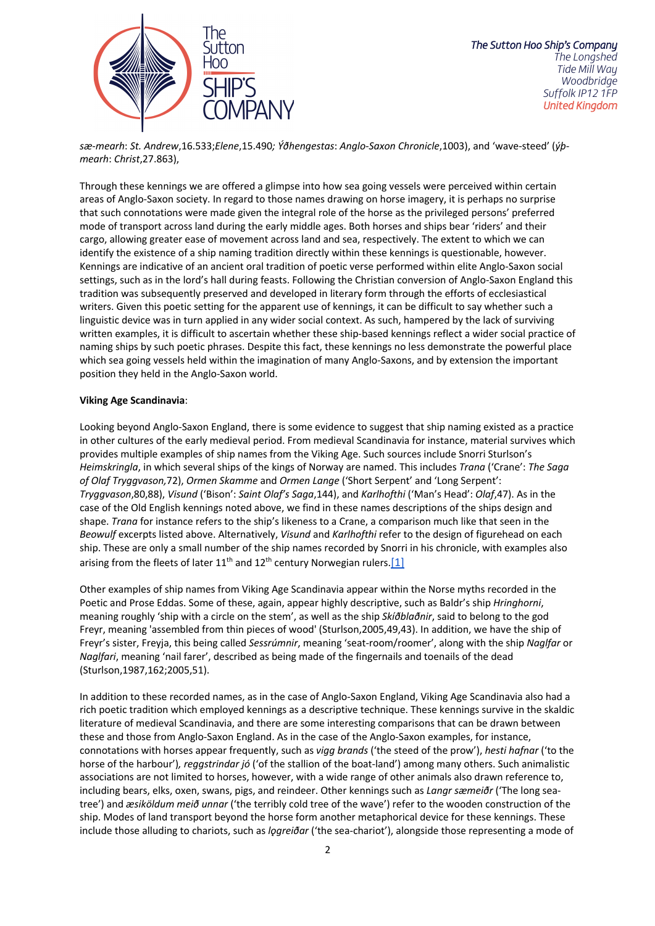

*sæ-mearh*: *St. Andrew*,16.533;*Elene*,15.490*; Ýðhengestas*: *Anglo-Saxon Chronicle*,1003), and 'wave-steed' (*ýþmearh*: *Christ*,27.863),

Through these kennings we are offered a glimpse into how sea going vessels were perceived within certain areas of Anglo-Saxon society. In regard to those names drawing on horse imagery, it is perhaps no surprise that such connotations were made given the integral role of the horse as the privileged persons' preferred mode of transport across land during the early middle ages. Both horses and ships bear 'riders' and their cargo, allowing greater ease of movement across land and sea, respectively. The extent to which we can identify the existence of a ship naming tradition directly within these kennings is questionable, however. Kennings are indicative of an ancient oral tradition of poetic verse performed within elite Anglo-Saxon social settings, such as in the lord's hall during feasts. Following the Christian conversion of Anglo-Saxon England this tradition was subsequently preserved and developed in literary form through the efforts of ecclesiastical writers. Given this poetic setting for the apparent use of kennings, it can be difficult to say whether such a linguistic device was in turn applied in any wider social context. As such, hampered by the lack of surviving written examples, it is difficult to ascertain whether these ship-based kennings reflect a wider social practice of naming ships by such poetic phrases. Despite this fact, these kennings no less demonstrate the powerful place which sea going vessels held within the imagination of many Anglo-Saxons, and by extension the important position they held in the Anglo-Saxon world.

## **Viking Age Scandinavia**:

Looking beyond Anglo-Saxon England, there is some evidence to suggest that ship naming existed as a practice in other cultures of the early medieval period. From medieval Scandinavia for instance, material survives which provides multiple examples of ship names from the Viking Age. Such sources include Snorri Sturlson's *Heimskringla*, in which several ships of the kings of Norway are named. This includes *Trana* ('Crane': *The Saga of Olaf Tryggvason,*72), *Ormen Skamme* and *Ormen Lange* ('Short Serpent' and 'Long Serpent': *Tryggvason*,80,88), *Visund* ('Bison': *Saint Olaf's Saga*,144), and *Karlhofthi* ('Man's Head': *Olaf*,47). As in the case of the Old English kennings noted above, we find in these names descriptions of the ships design and shape. *Trana* for instance refers to the ship's likeness to a Crane, a comparison much like that seen in the *Beowulf* excerpts listed above. Alternatively, *Visund* and *Karlhofthi* refer to the design of figurehead on each ship. These are only a small number of the ship names recorded by Snorri in his chronicle, with examples also arising from the fleets of later  $11^{th}$  and  $12^{th}$  century Norwegian rulers. [1]

Other examples of ship names from Viking Age Scandinavia appear within the Norse myths recorded in the Poetic and Prose Eddas. Some of these, again, appear highly descriptive, such as Baldr's ship *Hringhorni*, meaning roughly 'ship with a circle on the stem', as well as the ship *Skíðblaðnir*, said to belong to the god Freyr, meaning 'assembled from thin pieces of wood' (Sturlson,2005,49,43). In addition, we have the ship of Freyr's sister, Freyja, this being called *Sessrúmnir*, meaning 'seat-room/roomer', along with the ship *Naglfar* or *Naglfari*, meaning 'nail farer', described as being made of the fingernails and toenails of the dead (Sturlson,1987,162;2005,51).

In addition to these recorded names, as in the case of Anglo-Saxon England, Viking Age Scandinavia also had a rich poetic tradition which employed kennings as a descriptive technique. These kennings survive in the skaldic literature of medieval Scandinavia, and there are some interesting comparisons that can be drawn between these and those from Anglo-Saxon England. As in the case of the Anglo-Saxon examples, for instance, connotations with horses appear frequently, such as *vigg brands* ('the steed of the prow'), *hesti hafnar* ('to the horse of the harbour')*, reggstrindar jó* ('of the stallion of the boat-land') among many others. Such animalistic associations are not limited to horses, however, with a wide range of other animals also drawn reference to, including bears, elks, oxen, swans, pigs, and reindeer. Other kennings such as *Langr sæmeiðr* ('The long seatree') and *æsiköldum meið unnar* ('the terribly cold tree of the wave') refer to the wooden construction of the ship. Modes of land transport beyond the horse form another metaphorical device for these kennings. These include those alluding to chariots, such as *lǫgreiðar* ('the sea-chariot'), alongside those representing a mode of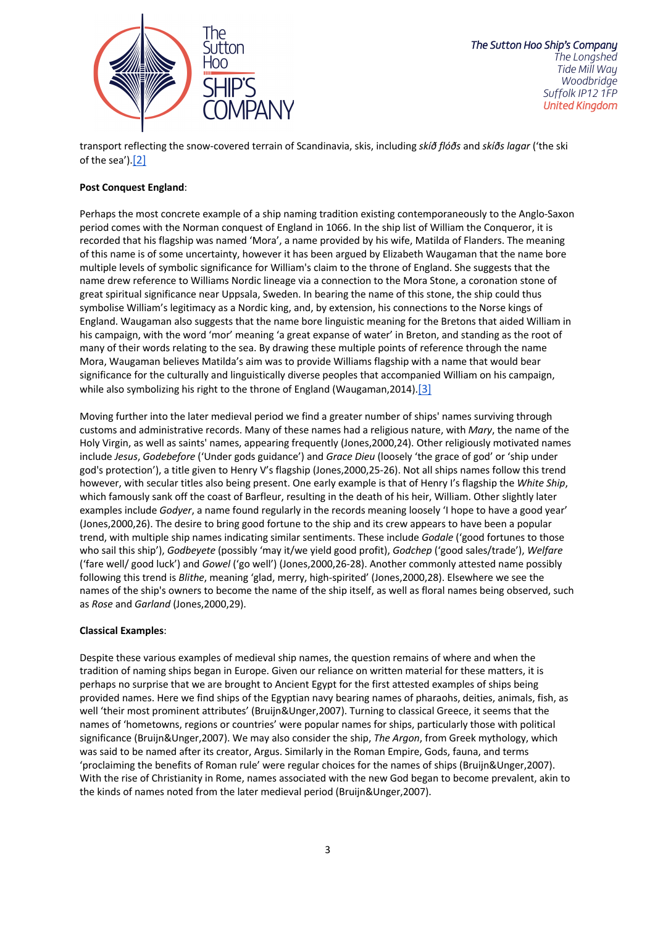

transport reflecting the snow-covered terrain of Scandinavia, skis, including *skíð flóðs* and *skíðs lagar* ('the ski of the sea').[2]

## **Post Conquest England**:

Perhaps the most concrete example of a ship naming tradition existing contemporaneously to the Anglo-Saxon period comes with the Norman conquest of England in 1066. In the ship list of William the Conqueror, it is recorded that his flagship was named 'Mora', a name provided by his wife, Matilda of Flanders. The meaning of this name is of some uncertainty, however it has been argued by Elizabeth Waugaman that the name bore multiple levels of symbolic significance for William's claim to the throne of England. She suggests that the name drew reference to Williams Nordic lineage via a connection to the Mora Stone, a coronation stone of great spiritual significance near Uppsala, Sweden. In bearing the name of this stone, the ship could thus symbolise William's legitimacy as a Nordic king, and, by extension, his connections to the Norse kings of England. Waugaman also suggests that the name bore linguistic meaning for the Bretons that aided William in his campaign, with the word 'mor' meaning 'a great expanse of water' in Breton, and standing as the root of many of their words relating to the sea. By drawing these multiple points of reference through the name Mora, Waugaman believes Matilda's aim was to provide Williams flagship with a name that would bear significance for the culturally and linguistically diverse peoples that accompanied William on his campaign, while also symbolizing his right to the throne of England (Waugaman,2014).[3]

Moving further into the later medieval period we find a greater number of ships' names surviving through customs and administrative records. Many of these names had a religious nature, with *Mary*, the name of the Holy Virgin, as well as saints' names, appearing frequently (Jones,2000,24). Other religiously motivated names include *Jesus*, *Godebefore* ('Under gods guidance') and *Grace Dieu* (loosely 'the grace of god' or 'ship under god's protection'), a title given to Henry V's flagship (Jones,2000,25-26). Not all ships names follow this trend however, with secular titles also being present. One early example is that of Henry I's flagship the *White Ship*, which famously sank off the coast of Barfleur, resulting in the death of his heir, William. Other slightly later examples include *Godyer*, a name found regularly in the records meaning loosely 'I hope to have a good year' (Jones,2000,26). The desire to bring good fortune to the ship and its crew appears to have been a popular trend, with multiple ship names indicating similar sentiments. These include *Godale* ('good fortunes to those who sail this ship'), *Godbeyete* (possibly 'may it/we yield good profit), *Godchep* ('good sales/trade'), *Welfare* ('fare well/ good luck') and *Gowel* ('go well') (Jones,2000,26-28). Another commonly attested name possibly following this trend is *Blithe*, meaning 'glad, merry, high-spirited' (Jones,2000,28). Elsewhere we see the names of the ship's owners to become the name of the ship itself, as well as floral names being observed, such as *Rose* and *Garland* (Jones,2000,29).

## **Classical Examples**:

Despite these various examples of medieval ship names, the question remains of where and when the tradition of naming ships began in Europe. Given our reliance on written material for these matters, it is perhaps no surprise that we are brought to Ancient Egypt for the first attested examples of ships being provided names. Here we find ships of the Egyptian navy bearing names of pharaohs, deities, animals, fish, as well 'their most prominent attributes' (Bruijn&Unger,2007). Turning to classical Greece, it seems that the names of 'hometowns, regions or countries' were popular names for ships, particularly those with political significance (Bruijn&Unger,2007). We may also consider the ship, *The Argon*, from Greek mythology, which was said to be named after its creator, Argus. Similarly in the Roman Empire, Gods, fauna, and terms 'proclaiming the benefits of Roman rule' were regular choices for the names of ships (Bruijn&Unger,2007). With the rise of Christianity in Rome, names associated with the new God began to become prevalent, akin to the kinds of names noted from the later medieval period (Bruijn&Unger,2007).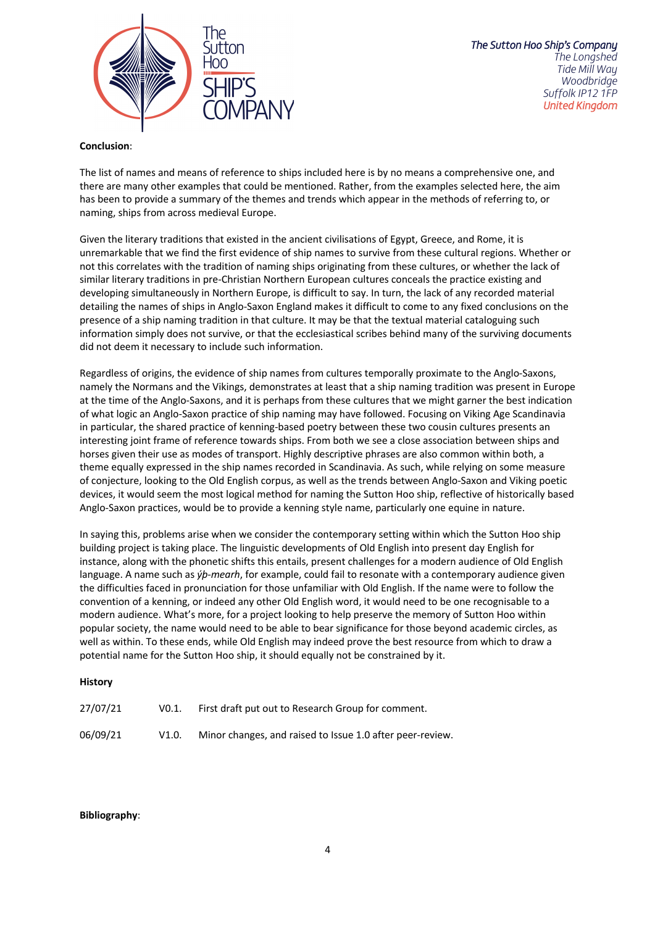

# **Conclusion**:

The list of names and means of reference to ships included here is by no means a comprehensive one, and there are many other examples that could be mentioned. Rather, from the examples selected here, the aim has been to provide a summary of the themes and trends which appear in the methods of referring to, or naming, ships from across medieval Europe.

Given the literary traditions that existed in the ancient civilisations of Egypt, Greece, and Rome, it is unremarkable that we find the first evidence of ship names to survive from these cultural regions. Whether or not this correlates with the tradition of naming ships originating from these cultures, or whether the lack of similar literary traditions in pre-Christian Northern European cultures conceals the practice existing and developing simultaneously in Northern Europe, is difficult to say. In turn, the lack of any recorded material detailing the names of ships in Anglo-Saxon England makes it difficult to come to any fixed conclusions on the presence of a ship naming tradition in that culture. It may be that the textual material cataloguing such information simply does not survive, or that the ecclesiastical scribes behind many of the surviving documents did not deem it necessary to include such information.

Regardless of origins, the evidence of ship names from cultures temporally proximate to the Anglo-Saxons, namely the Normans and the Vikings, demonstrates at least that a ship naming tradition was present in Europe at the time of the Anglo-Saxons, and it is perhaps from these cultures that we might garner the best indication of what logic an Anglo-Saxon practice of ship naming may have followed. Focusing on Viking Age Scandinavia in particular, the shared practice of kenning-based poetry between these two cousin cultures presents an interesting joint frame of reference towards ships. From both we see a close association between ships and horses given their use as modes of transport. Highly descriptive phrases are also common within both, a theme equally expressed in the ship names recorded in Scandinavia. As such, while relying on some measure of conjecture, looking to the Old English corpus, as well as the trends between Anglo-Saxon and Viking poetic devices, it would seem the most logical method for naming the Sutton Hoo ship, reflective of historically based Anglo-Saxon practices, would be to provide a kenning style name, particularly one equine in nature.

In saying this, problems arise when we consider the contemporary setting within which the Sutton Hoo ship building project is taking place. The linguistic developments of Old English into present day English for instance, along with the phonetic shifts this entails, present challenges for a modern audience of Old English language. A name such as *ýþ-mearh*, for example, could fail to resonate with a contemporary audience given the difficulties faced in pronunciation for those unfamiliar with Old English. If the name were to follow the convention of a kenning, or indeed any other Old English word, it would need to be one recognisable to a modern audience. What's more, for a project looking to help preserve the memory of Sutton Hoo within popular society, the name would need to be able to bear significance for those beyond academic circles, as well as within. To these ends, while Old English may indeed prove the best resource from which to draw a potential name for the Sutton Hoo ship, it should equally not be constrained by it.

# **History**

| 27/07/21 | VO.1. | First draft put out to Research Group for comment.        |
|----------|-------|-----------------------------------------------------------|
| 06/09/21 | V1.0. | Minor changes, and raised to Issue 1.0 after peer-review. |

# **Bibliography**: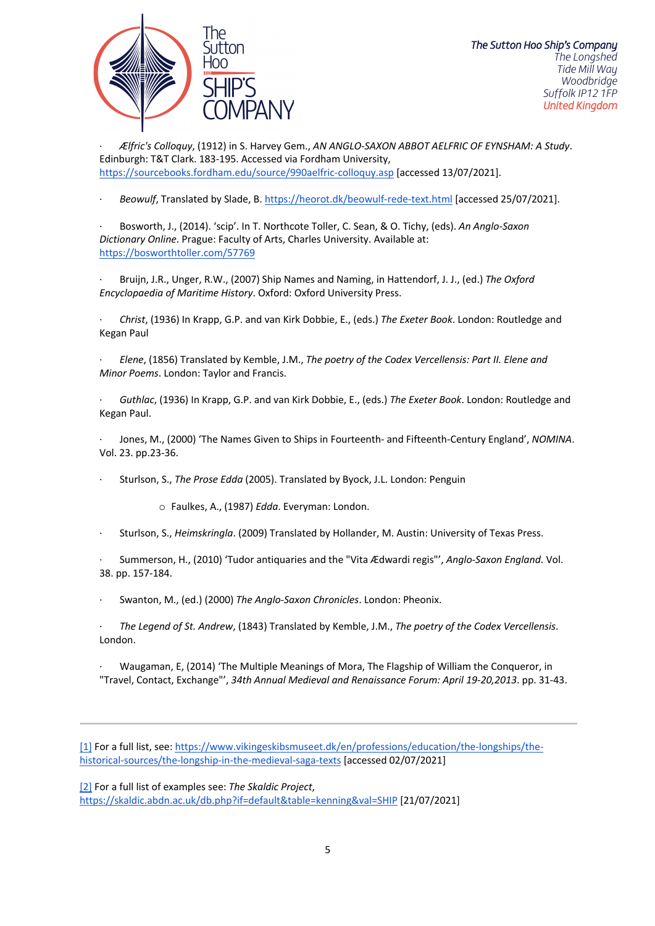

· *Ælfric's Colloquy*, (1912) in S. Harvey Gem., *AN ANGLO-SAXON ABBOT AELFRIC OF EYNSHAM: A Study*. Edinburgh: T&T Clark. 183-195. Accessed via Fordham University, https://sourcebooks.fordham.edu/source/990aelfric-colloquy.asp [accessed 13/07/2021].

· *Beowulf*, Translated by Slade, B. https://heorot.dk/beowulf-rede-text.html [accessed 25/07/2021].

· Bosworth, J., (2014). 'scip'. In T. Northcote Toller, C. Sean, & O. Tichy, (eds). *An Anglo-Saxon Dictionary Online*. Prague: Faculty of Arts, Charles University. Available at: https://bosworthtoller.com/57769

· Bruijn, J.R., Unger, R.W., (2007) Ship Names and Naming, in Hattendorf, J. J., (ed.) *The Oxford Encyclopaedia of Maritime History*. Oxford: Oxford University Press.

· *Christ*, (1936) In Krapp, G.P. and van Kirk Dobbie, E., (eds.) *The Exeter Book*. London: Routledge and Kegan Paul

· *Elene*, (1856) Translated by Kemble, J.M., *The poetry of the Codex Vercellensis: Part II. Elene and Minor Poems*. London: Taylor and Francis.

· *Guthlac*, (1936) In Krapp, G.P. and van Kirk Dobbie, E., (eds.) *The Exeter Book*. London: Routledge and Kegan Paul.

· Jones, M., (2000) 'The Names Given to Ships in Fourteenth- and Fifteenth-Century England', *NOMINA*. Vol. 23. pp.23-36.

· Sturlson, S., *The Prose Edda* (2005). Translated by Byock, J.L. London: Penguin

o Faulkes, A., (1987) *Edda*. Everyman: London.

· Sturlson, S., *Heimskringla*. (2009) Translated by Hollander, M. Austin: University of Texas Press.

· Summerson, H., (2010) 'Tudor antiquaries and the "Vita Ædwardi regis"', *Anglo-Saxon England*. Vol. 38. pp. 157-184.

· Swanton, M., (ed.) (2000) *The Anglo-Saxon Chronicles*. London: Pheonix.

· *The Legend of St. Andrew*, (1843) Translated by Kemble, J.M., *The poetry of the Codex Vercellensis*. London.

· Waugaman, E, (2014) 'The Multiple Meanings of Mora, The Flagship of William the Conqueror, in "Travel, Contact, Exchange"', *34th Annual Medieval and Renaissance Forum: April 19-20,2013*. pp. 31-43.

[1] For a full list, see: https://www.vikingeskibsmuseet.dk/en/professions/education/the-longships/thehistorical-sources/the-longship-in-the-medieval-saga-texts [accessed 02/07/2021]

[2] For a full list of examples see: *The Skaldic Project*, https://skaldic.abdn.ac.uk/db.php?if=default&table=kenning&val=SHIP [21/07/2021]